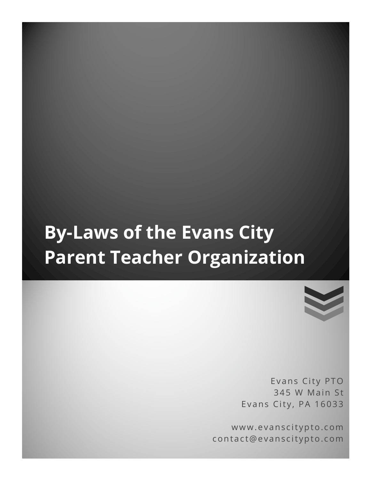# **By-Laws of the Evans City Parent Teacher Organization**



Evans City PTO 345 W Main St Evans City, PA 16033

www.evanscitypto.com contact@evanscitypto.com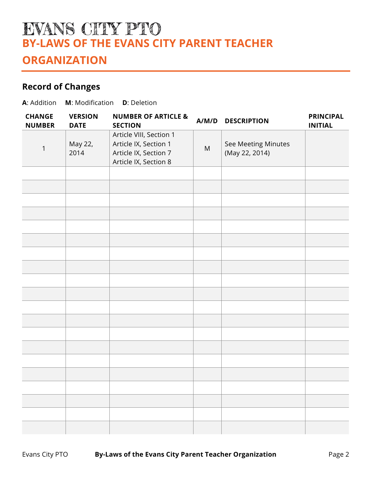## EVANS CITY PTO **BY-LAWS OF THE EVANS CITY PARENT TEACHER ORGANIZATION**

## **Record of Changes**

| A: Addition<br>M: Modification<br><b>D</b> : Deletion |                               |                                                                                                    |           |                                       |                                    |
|-------------------------------------------------------|-------------------------------|----------------------------------------------------------------------------------------------------|-----------|---------------------------------------|------------------------------------|
| <b>CHANGE</b><br><b>NUMBER</b>                        | <b>VERSION</b><br><b>DATE</b> | <b>NUMBER OF ARTICLE &amp;</b><br><b>SECTION</b>                                                   | A/M/D     | <b>DESCRIPTION</b>                    | <b>PRINCIPAL</b><br><b>INITIAL</b> |
| 1                                                     | May 22,<br>2014               | Article VIII, Section 1<br>Article IX, Section 1<br>Article IX, Section 7<br>Article IX, Section 8 | ${\sf M}$ | See Meeting Minutes<br>(May 22, 2014) |                                    |
|                                                       |                               |                                                                                                    |           |                                       |                                    |
|                                                       |                               |                                                                                                    |           |                                       |                                    |
|                                                       |                               |                                                                                                    |           |                                       |                                    |
|                                                       |                               |                                                                                                    |           |                                       |                                    |
|                                                       |                               |                                                                                                    |           |                                       |                                    |
|                                                       |                               |                                                                                                    |           |                                       |                                    |
|                                                       |                               |                                                                                                    |           |                                       |                                    |
|                                                       |                               |                                                                                                    |           |                                       |                                    |
|                                                       |                               |                                                                                                    |           |                                       |                                    |
|                                                       |                               |                                                                                                    |           |                                       |                                    |
|                                                       |                               |                                                                                                    |           |                                       |                                    |
|                                                       |                               |                                                                                                    |           |                                       |                                    |
|                                                       |                               |                                                                                                    |           |                                       |                                    |
|                                                       |                               |                                                                                                    |           |                                       |                                    |
|                                                       |                               |                                                                                                    |           |                                       |                                    |
|                                                       |                               |                                                                                                    |           |                                       |                                    |
|                                                       |                               |                                                                                                    |           |                                       |                                    |
|                                                       |                               |                                                                                                    |           |                                       |                                    |
|                                                       |                               |                                                                                                    |           |                                       |                                    |
|                                                       |                               |                                                                                                    |           |                                       |                                    |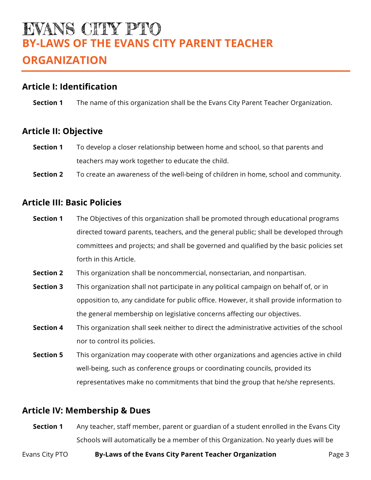## EVANS CHTY PTO **BY-LAWS OF THE EVANS CITY PARENT TEACHER ORGANIZATION**

## **Article I: Identification**

**Section 1** The name of this organization shall be the Evans City Parent Teacher Organization.

## **Article II: Objective**

- **Section 1** To develop a closer relationship between home and school, so that parents and teachers may work together to educate the child.
- **Section 2** To create an awareness of the well-being of children in home, school and community.

## **Article III: Basic Policies**

- **Section 1** The Objectives of this organization shall be promoted through educational programs directed toward parents, teachers, and the general public; shall be developed through committees and projects; and shall be governed and qualified by the basic policies set forth in this Article.
- **Section 2** This organization shall be noncommercial, nonsectarian, and nonpartisan.
- **Section 3** This organization shall not participate in any political campaign on behalf of, or in opposition to, any candidate for public office. However, it shall provide information to the general membership on legislative concerns affecting our objectives.
- **Section 4** This organization shall seek neither to direct the administrative activities of the school nor to control its policies.
- **Section 5** This organization may cooperate with other organizations and agencies active in child well-being, such as conference groups or coordinating councils, provided its representatives make no commitments that bind the group that he/she represents.

## **Article IV: Membership & Dues**

**Section 1** Any teacher, staff member, parent or guardian of a student enrolled in the Evans City Schools will automatically be a member of this Organization. No yearly dues will be

#### Evans City PTO **By-Laws of the Evans City Parent Teacher Organization** Page 3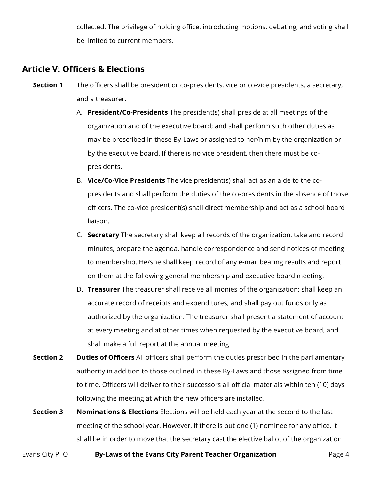collected. The privilege of holding office, introducing motions, debating, and voting shall be limited to current members.

## **Article V: Officers & Elections**

- **Section 1** The officers shall be president or co-presidents, vice or co-vice presidents, a secretary, and a treasurer.
	- A. **President/Co-Presidents** The president(s) shall preside at all meetings of the organization and of the executive board; and shall perform such other duties as may be prescribed in these By-Laws or assigned to her/him by the organization or by the executive board. If there is no vice president, then there must be copresidents.
	- B. **Vice/Co-Vice Presidents** The vice president(s) shall act as an aide to the copresidents and shall perform the duties of the co-presidents in the absence of those officers. The co-vice president(s) shall direct membership and act as a school board liaison.
	- C. **Secretary** The secretary shall keep all records of the organization, take and record minutes, prepare the agenda, handle correspondence and send notices of meeting to membership. He/she shall keep record of any e-mail bearing results and report on them at the following general membership and executive board meeting.
	- D. **Treasurer** The treasurer shall receive all monies of the organization; shall keep an accurate record of receipts and expenditures; and shall pay out funds only as authorized by the organization. The treasurer shall present a statement of account at every meeting and at other times when requested by the executive board, and shall make a full report at the annual meeting.
- **Section 2 Duties of Officers** All officers shall perform the duties prescribed in the parliamentary authority in addition to those outlined in these By-Laws and those assigned from time to time. Officers will deliver to their successors all official materials within ten (10) days following the meeting at which the new officers are installed.
- **Section 3 Nominations & Elections** Elections will be held each year at the second to the last meeting of the school year. However, if there is but one (1) nominee for any office, it shall be in order to move that the secretary cast the elective ballot of the organization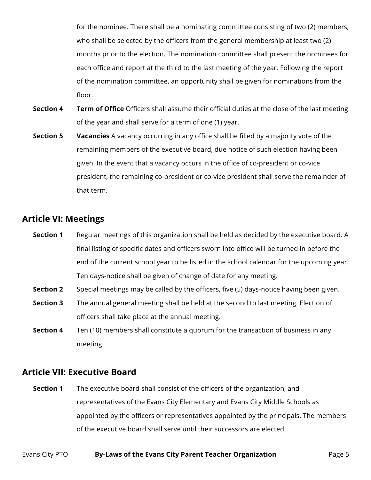for the nominee. There shall be a nominating committee consisting of two (2) members, who shall be selected by the officers from the general membership at least two (2) months prior to the election. The nomination committee shall present the nominees for each office and report at the third to the last meeting of the year. Following the report of the nomination committee, an opportunity shall be given for nominations from the floor.

- **Section 4 Term of Office** Officers shall assume their official duties at the close of the last meeting of the year and shall serve for a term of one (1) year.
- **Section 5 Vacancies** A vacancy occurring in any office shall be filled by a majority vote of the remaining members of the executive board, due notice of such election having been given. In the event that a vacancy occurs in the office of co-president or co-vice president, the remaining co-president or co-vice president shall serve the remainder of that term.

## **Article VI: Meetings**

- **Section 1** Regular meetings of this organization shall be held as decided by the executive board. A final listing of specific dates and officers sworn into office will be turned in before the end of the current school year to be listed in the school calendar for the upcoming year. Ten days-notice shall be given of change of date for any meeting.
- **Section 2** Special meetings may be called by the officers, five (5) days-notice having been given.
- **Section 3** The annual general meeting shall be held at the second to last meeting. Election of officers shall take place at the annual meeting.
- **Section 4** Ten (10) members shall constitute a quorum for the transaction of business in any meeting.

## **Article VII: Executive Board**

**Section 1** The executive board shall consist of the officers of the organization, and representatives of the Evans City Elementary and Evans City Middle Schools as appointed by the officers or representatives appointed by the principals. The members of the executive board shall serve until their successors are elected.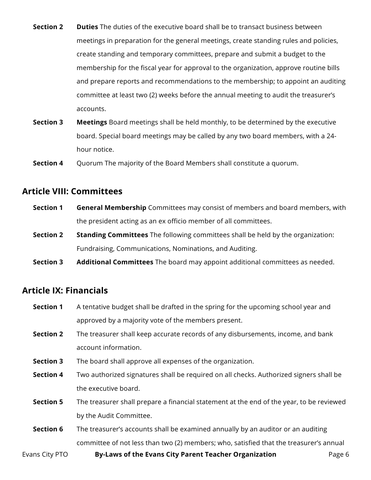- **Section 2 Duties** The duties of the executive board shall be to transact business between meetings in preparation for the general meetings, create standing rules and policies, create standing and temporary committees, prepare and submit a budget to the membership for the fiscal year for approval to the organization, approve routine bills and prepare reports and recommendations to the membership; to appoint an auditing committee at least two (2) weeks before the annual meeting to audit the treasurer's accounts.
- **Section 3 Meetings** Board meetings shall be held monthly, to be determined by the executive board. Special board meetings may be called by any two board members, with a 24 hour notice.

**Section 4** Quorum The majority of the Board Members shall constitute a quorum.

### **Article VIII: Committees**

- **Section 1 General Membership** Committees may consist of members and board members, with the president acting as an ex officio member of all committees.
- **Section 2 Standing Committees** The following committees shall be held by the organization: Fundraising, Communications, Nominations, and Auditing.
- **Section 3 Additional Committees** The board may appoint additional committees as needed.

## **Article IX: Financials**

- **Section 1** A tentative budget shall be drafted in the spring for the upcoming school year and approved by a majority vote of the members present. **Section 2** The treasurer shall keep accurate records of any disbursements, income, and bank
- account information.
- **Section 3** The board shall approve all expenses of the organization.
- **Section 4** Two authorized signatures shall be required on all checks. Authorized signers shall be the executive board.
- **Section 5** The treasurer shall prepare a financial statement at the end of the year, to be reviewed by the Audit Committee.
- **Section 6** The treasurer's accounts shall be examined annually by an auditor or an auditing committee of not less than two (2) members; who, satisfied that the treasurer's annual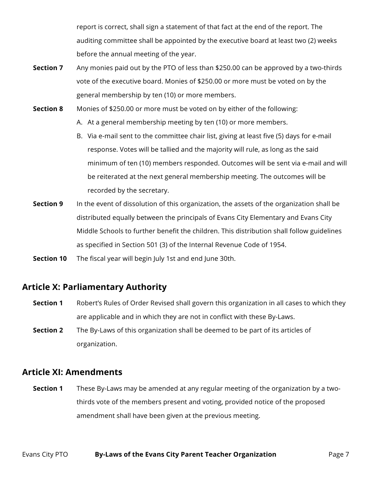report is correct, shall sign a statement of that fact at the end of the report. The auditing committee shall be appointed by the executive board at least two (2) weeks before the annual meeting of the year.

- **Section 7** Any monies paid out by the PTO of less than \$250.00 can be approved by a two-thirds vote of the executive board. Monies of \$250.00 or more must be voted on by the general membership by ten (10) or more members.
- **Section 8** Monies of \$250.00 or more must be voted on by either of the following: A. At a general membership meeting by ten (10) or more members.
	- B. Via e-mail sent to the committee chair list, giving at least five (5) days for e-mail response. Votes will be tallied and the majority will rule, as long as the said minimum of ten (10) members responded. Outcomes will be sent via e-mail and will be reiterated at the next general membership meeting. The outcomes will be recorded by the secretary.
- **Section 9** In the event of dissolution of this organization, the assets of the organization shall be distributed equally between the principals of Evans City Elementary and Evans City Middle Schools to further benefit the children. This distribution shall follow guidelines as specified in Section 501 (3) of the Internal Revenue Code of 1954.
- **Section 10** The fiscal year will begin July 1st and end June 30th.

## **Article X: Parliamentary Authority**

- **Section 1** Robert's Rules of Order Revised shall govern this organization in all cases to which they are applicable and in which they are not in conflict with these By-Laws.
- **Section 2** The By-Laws of this organization shall be deemed to be part of its articles of organization.

## **Article XI: Amendments**

**Section 1** These By-Laws may be amended at any regular meeting of the organization by a twothirds vote of the members present and voting, provided notice of the proposed amendment shall have been given at the previous meeting.